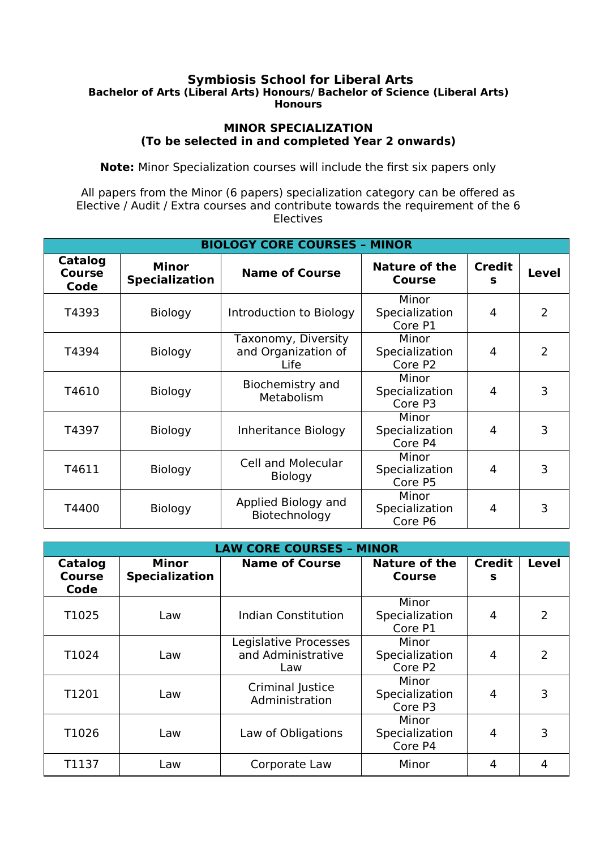## **Symbiosis School for Liberal Arts Bachelor of Arts (Liberal Arts) Honours/ Bachelor of Science (Liberal Arts) Honours**

## **MINOR SPECIALIZATION (To be selected in and completed Year 2 onwards)**

**Note:** Minor Specialization courses will include the first six papers only

All papers from the Minor (6 papers) specialization category can be offered as Elective / Audit / Extra courses and contribute towards the requirement of the 6 Electives

| <b>BIOLOGY CORE COURSES - MINOR</b> |                                |                                                    |                                       |                    |                |  |  |  |
|-------------------------------------|--------------------------------|----------------------------------------------------|---------------------------------------|--------------------|----------------|--|--|--|
| Catalog<br><b>Course</b><br>Code    | Minor<br><b>Specialization</b> | <b>Name of Course</b>                              | <b>Nature of the</b><br><b>Course</b> | <b>Credit</b><br>s | <b>Level</b>   |  |  |  |
| T4393                               | <b>Biology</b>                 | Introduction to Biology                            | Minor<br>Specialization<br>Core P1    | 4                  | $\overline{2}$ |  |  |  |
| T4394                               | <b>Biology</b>                 | Taxonomy, Diversity<br>and Organization of<br>Life | Minor<br>Specialization<br>Core P2    | 4                  | $\overline{2}$ |  |  |  |
| T4610                               | <b>Biology</b>                 | Biochemistry and<br>Metabolism                     | Minor<br>Specialization<br>Core P3    | 4                  | 3              |  |  |  |
| T4397                               | <b>Biology</b>                 | Inheritance Biology                                | Minor<br>Specialization<br>Core P4    | 4                  | 3              |  |  |  |
| T4611                               | Biology                        | <b>Cell and Molecular</b><br><b>Biology</b>        | Minor<br>Specialization<br>Core P5    | 4                  | 3              |  |  |  |
| T4400                               | <b>Biology</b>                 | Applied Biology and<br>Biotechnology               | Minor<br>Specialization<br>Core P6    | 4                  | 3              |  |  |  |

| <b>LAW CORE COURSES - MINOR</b>  |                                       |                                                    |                                       |                    |                |  |  |  |
|----------------------------------|---------------------------------------|----------------------------------------------------|---------------------------------------|--------------------|----------------|--|--|--|
| <b>Catalog</b><br>Course<br>Code | <b>Minor</b><br><b>Specialization</b> | <b>Name of Course</b>                              | <b>Nature of the</b><br><b>Course</b> | <b>Credit</b><br>s | Level          |  |  |  |
| T1025                            | Law                                   | <b>Indian Constitution</b>                         | Minor<br>Specialization<br>Core P1    | 4                  | $\overline{2}$ |  |  |  |
| T1024                            | Law                                   | Legislative Processes<br>and Administrative<br>Law | Minor<br>Specialization<br>Core P2    | 4                  | 2              |  |  |  |
| T1201                            | Law                                   | Criminal Justice<br>Administration                 | Minor<br>Specialization<br>Core P3    | 4                  | 3              |  |  |  |
| T1026                            | Law                                   | Law of Obligations                                 | Minor<br>Specialization<br>Core P4    | 4                  | 3              |  |  |  |
| T1137                            | Law                                   | Corporate Law                                      | Minor                                 | 4                  |                |  |  |  |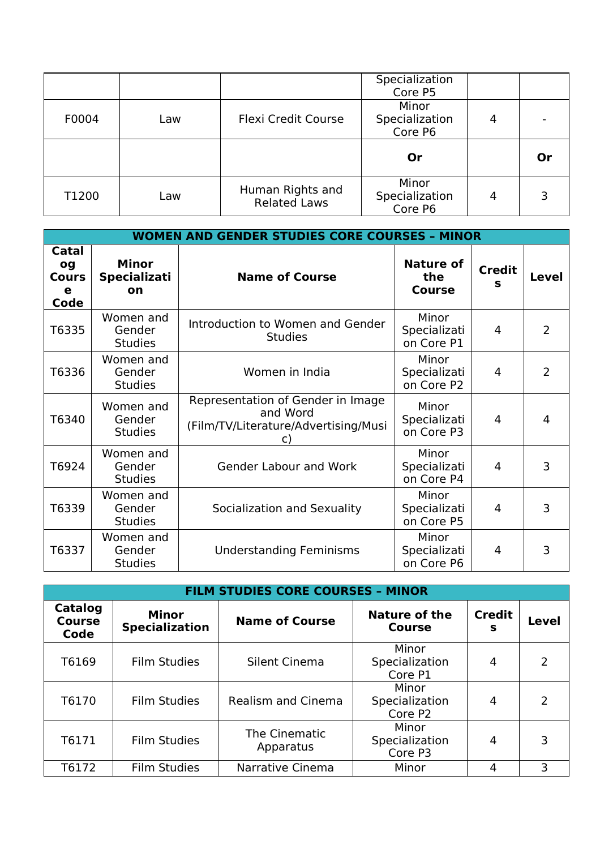|       |     |                            | Specialization<br>Core P5          |   |    |
|-------|-----|----------------------------|------------------------------------|---|----|
| F0004 | Law | <b>Flexi Credit Course</b> | Minor<br>Specialization<br>Core P6 | 4 |    |
|       |     |                            | Or                                 |   | Or |
|       |     |                            |                                    |   |    |

|                                          | <b>WOMEN AND GENDER STUDIES CORE COURSES - MINOR</b> |                                                                                             |                                     |                    |                |  |  |  |  |
|------------------------------------------|------------------------------------------------------|---------------------------------------------------------------------------------------------|-------------------------------------|--------------------|----------------|--|--|--|--|
| Catal<br>og<br><b>Cours</b><br>e<br>Code | <b>Minor</b><br><b>Specializati</b><br>on            | <b>Name of Course</b>                                                                       | Nature of<br>the<br><b>Course</b>   | <b>Credit</b><br>s | <b>Level</b>   |  |  |  |  |
| T6335                                    | Women and<br>Gender<br><b>Studies</b>                | Introduction to Women and Gender<br><b>Studies</b>                                          | Minor<br>Specializati<br>on Core P1 | $\overline{4}$     | $\overline{2}$ |  |  |  |  |
| T6336                                    | Women and<br>Gender<br><b>Studies</b>                | Women in India                                                                              | Minor<br>Specializati<br>on Core P2 | 4                  | $\overline{2}$ |  |  |  |  |
| T6340                                    | Women and<br>Gender<br><b>Studies</b>                | Representation of Gender in Image<br>and Word<br>(Film/TV/Literature/Advertising/Musi<br>C) | Minor<br>Specializati<br>on Core P3 | 4                  | 4              |  |  |  |  |
| T6924                                    | Women and<br>Gender<br><b>Studies</b>                | <b>Gender Labour and Work</b>                                                               | Minor<br>Specializati<br>on Core P4 | $\overline{4}$     | 3              |  |  |  |  |
| T6339                                    | Women and<br>Gender<br><b>Studies</b>                | Socialization and Sexuality                                                                 | Minor<br>Specializati<br>on Core P5 | $\overline{4}$     | 3              |  |  |  |  |
| T6337                                    | Women and<br>Gender<br><b>Studies</b>                | <b>Understanding Feminisms</b>                                                              | Minor<br>Specializati<br>on Core P6 | 4                  | 3              |  |  |  |  |

| <b>FILM STUDIES CORE COURSES - MINOR</b> |                                       |                            |                                    |                    |               |  |  |  |  |
|------------------------------------------|---------------------------------------|----------------------------|------------------------------------|--------------------|---------------|--|--|--|--|
| <b>Catalog</b><br><b>Course</b><br>Code  | <b>Minor</b><br><b>Specialization</b> | <b>Name of Course</b>      | <b>Nature of the</b><br>Course     | <b>Credit</b><br>s | Level         |  |  |  |  |
| T6169                                    | <b>Film Studies</b>                   | Silent Cinema              | Minor<br>Specialization<br>Core P1 | 4                  | 2             |  |  |  |  |
| T6170                                    | <b>Film Studies</b>                   | <b>Realism and Cinema</b>  | Minor<br>Specialization<br>Core P2 | 4                  | $\mathcal{P}$ |  |  |  |  |
| T6171                                    | <b>Film Studies</b>                   | The Cinematic<br>Apparatus | Minor<br>Specialization<br>Core P3 | 4                  | 3             |  |  |  |  |
| T6172                                    | <b>Film Studies</b>                   | Narrative Cinema           | Minor                              | 4                  | 3             |  |  |  |  |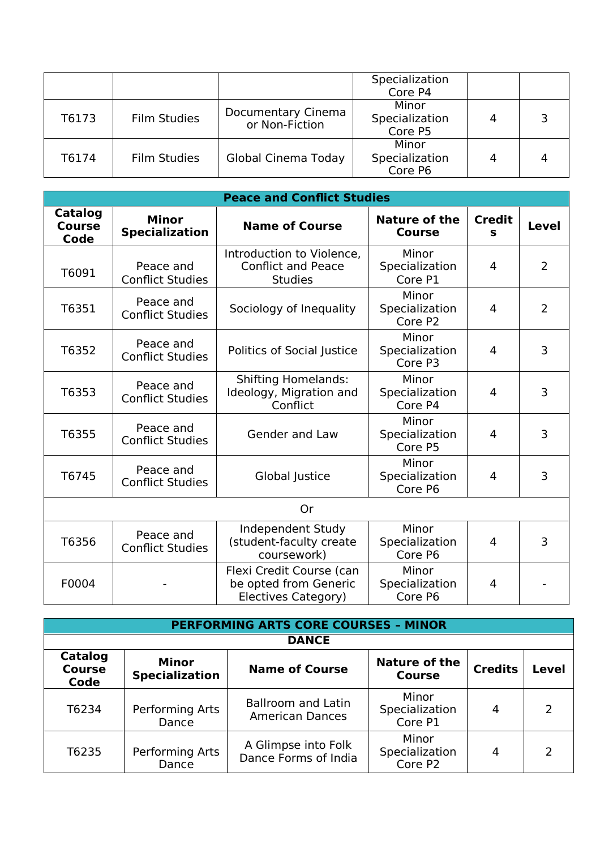|       |                     |                                      | Specialization<br>Core P4          |   |  |
|-------|---------------------|--------------------------------------|------------------------------------|---|--|
| T6173 | <b>Film Studies</b> | Documentary Cinema<br>or Non-Fiction | Minor<br>Specialization<br>Core P5 | 4 |  |
| T6174 | <b>Film Studies</b> | Global Cinema Today                  | Minor<br>Specialization<br>Core P6 | 4 |  |

| <b>Peace and Conflict Studies</b> |                                       |                                                                          |                                                |                               |                |  |  |  |
|-----------------------------------|---------------------------------------|--------------------------------------------------------------------------|------------------------------------------------|-------------------------------|----------------|--|--|--|
| Catalog<br><b>Course</b><br>Code  | <b>Minor</b><br><b>Specialization</b> | <b>Name of Course</b>                                                    | <b>Nature of the</b><br><b>Course</b>          | <b>Credit</b><br>$\mathbf{s}$ | <b>Level</b>   |  |  |  |
| T6091                             | Peace and<br><b>Conflict Studies</b>  | Introduction to Violence,<br><b>Conflict and Peace</b><br><b>Studies</b> | Minor<br>Specialization<br>Core P1             | $\overline{4}$                | $\overline{2}$ |  |  |  |
| T6351                             | Peace and<br><b>Conflict Studies</b>  | Sociology of Inequality                                                  | Minor<br>Specialization<br>Core P <sub>2</sub> | 4                             | $\overline{2}$ |  |  |  |
| T6352                             | Peace and<br><b>Conflict Studies</b>  | Politics of Social Justice                                               | Minor<br>Specialization<br>Core P3             | $\overline{4}$                | 3              |  |  |  |
| T6353                             | Peace and<br><b>Conflict Studies</b>  | <b>Shifting Homelands:</b><br>Ideology, Migration and<br>Conflict        | Minor<br>Specialization<br>Core P4             | 4                             | 3              |  |  |  |
| T6355                             | Peace and<br><b>Conflict Studies</b>  | <b>Gender and Law</b>                                                    | Minor<br>Specialization<br>Core P5             | 4                             | 3              |  |  |  |
| T6745                             | Peace and<br><b>Conflict Studies</b>  | Global Justice                                                           | Minor<br>Specialization<br>Core P6             | 4                             | 3              |  |  |  |
|                                   |                                       | <b>Or</b>                                                                |                                                |                               |                |  |  |  |
| T6356                             | Peace and<br><b>Conflict Studies</b>  | Independent Study<br>(student-faculty create<br>coursework)              | Minor<br>Specialization<br>Core P6             | 4                             | 3              |  |  |  |
| F0004                             |                                       | Flexi Credit Course (can<br>be opted from Generic<br>Electives Category) | Minor<br>Specialization<br>Core P6             | 4                             |                |  |  |  |

|                                  | <b>PERFORMING ARTS CORE COURSES - MINOR</b> |                                                     |                                    |                |       |  |  |  |  |
|----------------------------------|---------------------------------------------|-----------------------------------------------------|------------------------------------|----------------|-------|--|--|--|--|
|                                  |                                             | <b>DANCE</b>                                        |                                    |                |       |  |  |  |  |
| Catalog<br><b>Course</b><br>Code | <b>Minor</b><br><b>Specialization</b>       | <b>Name of Course</b>                               | Nature of the<br><b>Course</b>     | <b>Credits</b> | Level |  |  |  |  |
| T6234                            | Performing Arts<br>Dance                    | <b>Ballroom and Latin</b><br><b>American Dances</b> | Minor<br>Specialization<br>Core P1 | 4              | 2     |  |  |  |  |
| T6235                            | Performing Arts<br>Dance                    | A Glimpse into Folk<br>Dance Forms of India         | Minor<br>Specialization<br>Core P2 | 4              | 2     |  |  |  |  |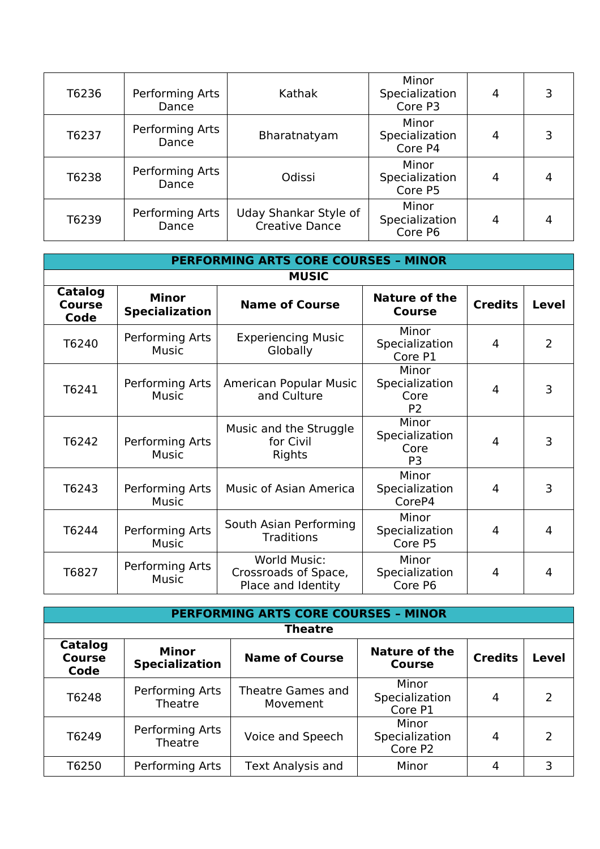| T6236 | Performing Arts<br>Dance | Kathak                                         | Minor<br>Specialization<br>Core P3 | 4 |   |
|-------|--------------------------|------------------------------------------------|------------------------------------|---|---|
| T6237 | Performing Arts<br>Dance | Bharatnatyam                                   | Minor<br>Specialization<br>Core P4 | 4 |   |
| T6238 | Performing Arts<br>Dance | Odissi                                         | Minor<br>Specialization<br>Core P5 |   |   |
| T6239 | Performing Arts<br>Dance | Uday Shankar Style of<br><b>Creative Dance</b> | Minor<br>Specialization<br>Core P6 | 4 | 4 |

| <b>PERFORMING ARTS CORE COURSES - MINOR</b> |                                       |                                                                   |                                                   |                |              |  |  |  |  |
|---------------------------------------------|---------------------------------------|-------------------------------------------------------------------|---------------------------------------------------|----------------|--------------|--|--|--|--|
| <b>MUSIC</b>                                |                                       |                                                                   |                                                   |                |              |  |  |  |  |
| Catalog<br><b>Course</b><br>Code            | <b>Minor</b><br><b>Specialization</b> | <b>Name of Course</b>                                             | <b>Nature of the</b><br><b>Course</b>             | <b>Credits</b> | <b>Level</b> |  |  |  |  |
| T6240                                       | Performing Arts<br><b>Music</b>       | <b>Experiencing Music</b><br>Globally                             | Minor<br>Specialization<br>Core P1                | 4              | 2            |  |  |  |  |
| T6241                                       | Performing Arts<br><b>Music</b>       | American Popular Music<br>and Culture                             | Minor<br>Specialization<br>Core<br>P <sub>2</sub> | 4              | 3            |  |  |  |  |
| T6242                                       | Performing Arts<br><b>Music</b>       | Music and the Struggle<br>for Civil<br>Rights                     | Minor<br>Specialization<br>Core<br>P <sub>3</sub> | 4              | 3            |  |  |  |  |
| T6243                                       | Performing Arts<br><b>Music</b>       | <b>Music of Asian America</b>                                     | Minor<br>Specialization<br>CoreP4                 | 4              | 3            |  |  |  |  |
| T6244                                       | Performing Arts<br>Music              | South Asian Performing<br><b>Traditions</b>                       | Minor<br>Specialization<br>Core P5                | 4              | 4            |  |  |  |  |
| T6827                                       | Performing Arts<br><b>Music</b>       | <b>World Music:</b><br>Crossroads of Space,<br>Place and Identity | Minor<br>Specialization<br>Core P6                | 4              | 4            |  |  |  |  |

|                                  | <b>PERFORMING ARTS CORE COURSES - MINOR</b> |                               |                                       |                |               |  |  |  |  |
|----------------------------------|---------------------------------------------|-------------------------------|---------------------------------------|----------------|---------------|--|--|--|--|
|                                  | <b>Theatre</b>                              |                               |                                       |                |               |  |  |  |  |
| Catalog<br><b>Course</b><br>Code | <b>Minor</b><br><b>Specialization</b>       | <b>Name of Course</b>         | <b>Nature of the</b><br><b>Course</b> | <b>Credits</b> | Level         |  |  |  |  |
| T6248                            | Performing Arts<br>Theatre                  | Theatre Games and<br>Movement | Minor<br>Specialization<br>Core P1    | 4              | $\mathcal{P}$ |  |  |  |  |
| T6249                            | Performing Arts<br>Theatre                  | Voice and Speech              | Minor<br>Specialization<br>Core P2    | 4              | $\mathcal{P}$ |  |  |  |  |
| T6250                            | Performing Arts                             | <b>Text Analysis and</b>      | Minor                                 |                | 3             |  |  |  |  |